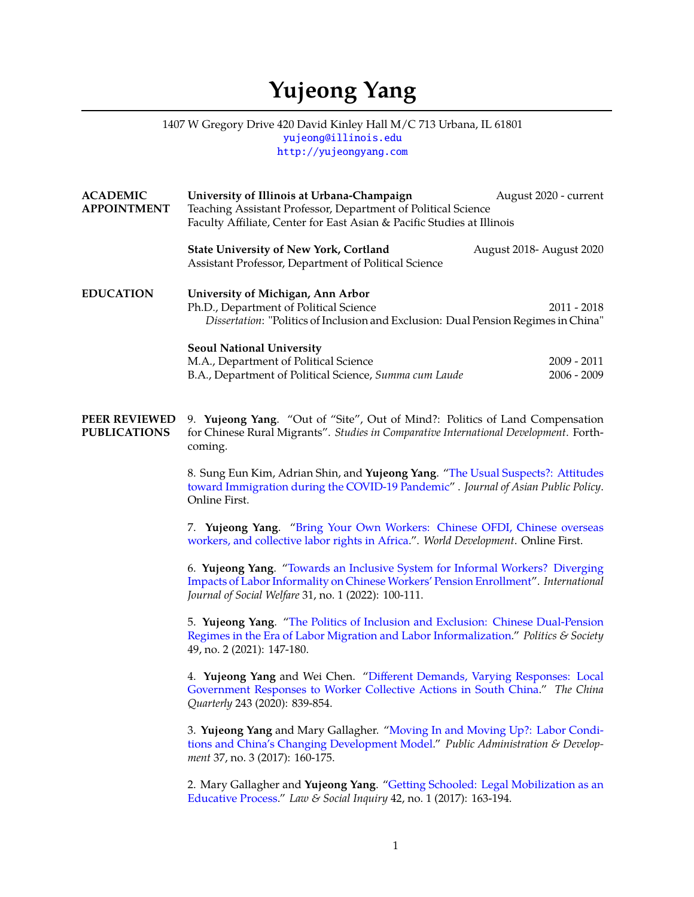## **Yujeong Yang**

## 1407 W Gregory Drive 420 David Kinley Hall M/C 713 Urbana, IL 61801 [yujeong@illinois.edu](mailto:yujeong@illinois.edu) <http://yujeongyang.com>

| <b>ACADEMIC</b><br><b>APPOINTMENT</b>       | University of Illinois at Urbana-Champaign<br>August 2020 - current<br>Teaching Assistant Professor, Department of Political Science<br>Faculty Affiliate, Center for East Asian & Pacific Studies at Illinois               |  |  |
|---------------------------------------------|------------------------------------------------------------------------------------------------------------------------------------------------------------------------------------------------------------------------------|--|--|
|                                             | <b>State University of New York, Cortland</b><br>August 2018- August 2020<br>Assistant Professor, Department of Political Science                                                                                            |  |  |
| <b>EDUCATION</b>                            | University of Michigan, Ann Arbor<br>Ph.D., Department of Political Science<br>$2011 - 2018$<br>Dissertation: "Politics of Inclusion and Exclusion: Dual Pension Regimes in China"                                           |  |  |
|                                             | <b>Seoul National University</b><br>$2009 - 2011$<br>M.A., Department of Political Science<br>B.A., Department of Political Science, Summa cum Laude<br>$2006 - 2009$                                                        |  |  |
| <b>PEER REVIEWED</b><br><b>PUBLICATIONS</b> | 9. Yujeong Yang. "Out of "Site", Out of Mind?: Politics of Land Compensation<br>for Chinese Rural Migrants". Studies in Comparative International Development. Forth-<br>coming.                                             |  |  |
|                                             | 8. Sung Eun Kim, Adrian Shin, and Yujeong Yang. "The Usual Suspects?: Attitudes<br>toward Immigration during the COVID-19 Pandemic". Journal of Asian Public Policy.<br>Online First.                                        |  |  |
|                                             | 7. Yujeong Yang. "Bring Your Own Workers: Chinese OFDI, Chinese overseas<br>workers, and collective labor rights in Africa.". World Development. Online First.                                                               |  |  |
|                                             | 6. Yujeong Yang. "Towards an Inclusive System for Informal Workers? Diverging<br>Impacts of Labor Informality on Chinese Workers' Pension Enrollment". International<br>Journal of Social Welfare 31, no. 1 (2022): 100-111. |  |  |
|                                             | 5. Yujeong Yang. "The Politics of Inclusion and Exclusion: Chinese Dual-Pension<br>Regimes in the Era of Labor Migration and Labor Informalization." Politics & Society<br>49, no. 2 (2021): 147-180.                        |  |  |
|                                             | 4. Yujeong Yang and Wei Chen. "Different Demands, Varying Responses: Local<br>Government Responses to Worker Collective Actions in South China." The China<br>Quarterly 243 (2020): 839-854.                                 |  |  |
|                                             | 3. Yujeong Yang and Mary Gallagher. "Moving In and Moving Up?: Labor Condi-<br>tions and China's Changing Development Model." Public Administration & Develop-<br>ment 37, no. 3 (2017): 160-175.                            |  |  |
|                                             | 2. Mary Gallagher and Yujeong Yang. "Getting Schooled: Legal Mobilization as an<br>Educative Process." Law & Social Inquiry 42, no. 1 (2017): 163-194.                                                                       |  |  |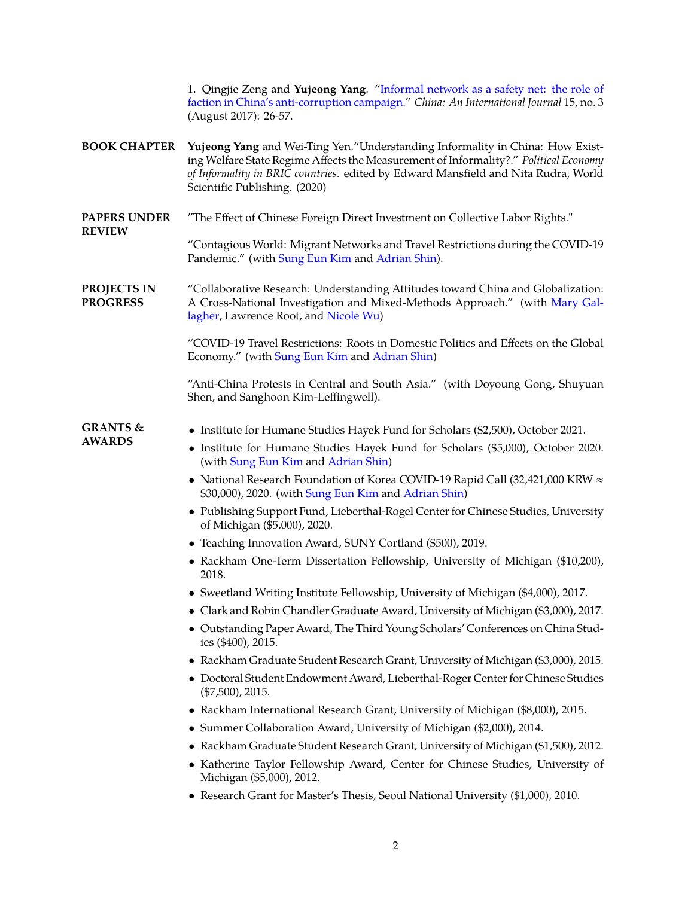1. Qingjie Zeng and **Yujeong Yang**. ["Informal network as a safety net: the role of](https://muse.jhu.edu/article/668693) [faction in China's anti-corruption campaign.](https://muse.jhu.edu/article/668693)" *China: An International Journal* 15, no. 3 (August 2017): 26-57.

- **BOOK CHAPTER Yujeong Yang** and Wei-Ting Yen."Understanding Informality in China: How Existing Welfare State Regime Affects the Measurement of Informality?." *Political Economy of Informality in BRIC countries*. edited by Edward Mansfield and Nita Rudra, World Scientific Publishing. (2020)
- **PAPERS UNDER** "The Effect of Chinese Foreign Direct Investment on Collective Labor Rights."

"Contagious World: Migrant Networks and Travel Restrictions during the COVID-19 Pandemic." (with [Sung Eun Kim](https://sungeunkim.com) and [Adrian Shin\)](https://www.adrianshin.com).

**PROJECTS IN PROGRESS** "Collaborative Research: Understanding Attitudes toward China and Globalization: A Cross-National Investigation and Mixed-Methods Approach." (with [Mary Gal](http://www.maryegallagher.net)[lagher,](http://www.maryegallagher.net) Lawrence Root, and [Nicole Wu\)](http://www-personal.umich.edu/~nicolewu)

> "COVID-19 Travel Restrictions: Roots in Domestic Politics and Effects on the Global Economy." (with [Sung Eun Kim](https://sungeunkim.com) and [Adrian Shin\)](https://www.adrianshin.com)

> "Anti-China Protests in Central and South Asia." (with Doyoung Gong, Shuyuan Shen, and Sanghoon Kim-Leffingwell).

## **GRANTS & AWARDS**

**REVIEW**

- Institute for Humane Studies Hayek Fund for Scholars (\$2,500), October 2021.
	- Institute for Humane Studies Hayek Fund for Scholars (\$5,000), October 2020. (with [Sung Eun Kim](https://sungeunkim.com) and [Adrian Shin\)](https://www.adrianshin.com)
	- National Research Foundation of Korea COVID-19 Rapid Call (32,421,000 KRW ≈ \$30,000), 2020. (with [Sung Eun Kim](https://sungeunkim.com) and [Adrian Shin\)](https://www.adrianshin.com)
	- Publishing Support Fund, Lieberthal-Rogel Center for Chinese Studies, University of Michigan (\$5,000), 2020.
	- Teaching Innovation Award, SUNY Cortland (\$500), 2019.
	- Rackham One-Term Dissertation Fellowship, University of Michigan (\$10,200), 2018.
	- Sweetland Writing Institute Fellowship, University of Michigan (\$4,000), 2017.
	- Clark and Robin Chandler Graduate Award, University of Michigan (\$3,000), 2017.
	- Outstanding Paper Award, The Third Young Scholars' Conferences on China Studies (\$400), 2015.
	- Rackham Graduate Student Research Grant, University of Michigan (\$3,000), 2015.
	- Doctoral Student Endowment Award, Lieberthal-Roger Center for Chinese Studies (\$7,500), 2015.
	- Rackham International Research Grant, University of Michigan (\$8,000), 2015.
	- Summer Collaboration Award, University of Michigan (\$2,000), 2014.
	- Rackham Graduate Student Research Grant, University of Michigan (\$1,500), 2012.
	- Katherine Taylor Fellowship Award, Center for Chinese Studies, University of Michigan (\$5,000), 2012.
	- Research Grant for Master's Thesis, Seoul National University (\$1,000), 2010.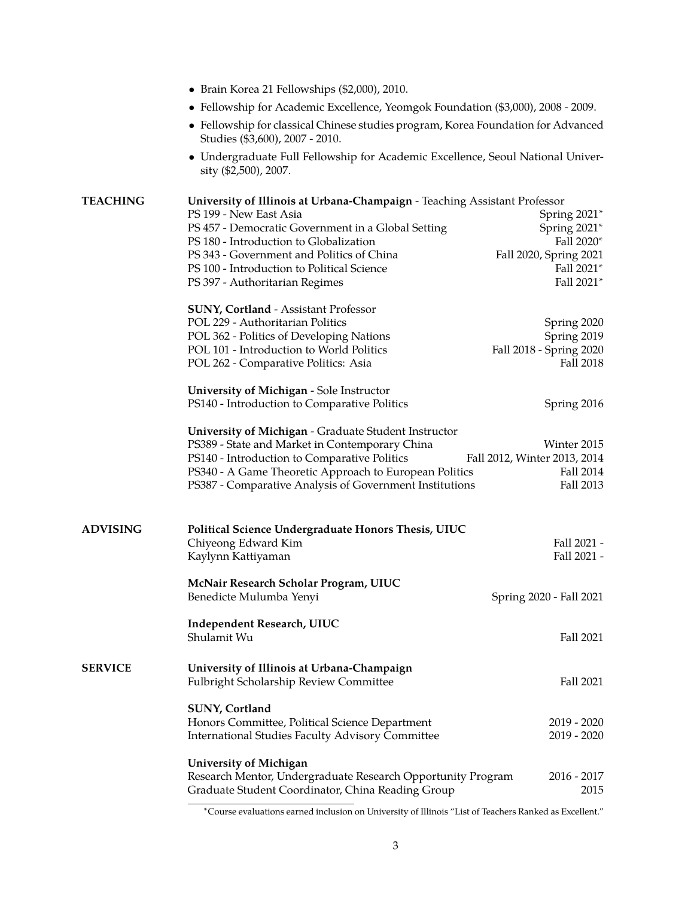|                 | • Brain Korea 21 Fellowships (\$2,000), 2010.                                                                        |                                      |  |  |
|-----------------|----------------------------------------------------------------------------------------------------------------------|--------------------------------------|--|--|
|                 | • Fellowship for Academic Excellence, Yeomgok Foundation (\$3,000), 2008 - 2009.                                     |                                      |  |  |
|                 | • Fellowship for classical Chinese studies program, Korea Foundation for Advanced<br>Studies (\$3,600), 2007 - 2010. |                                      |  |  |
|                 | • Undergraduate Full Fellowship for Academic Excellence, Seoul National Univer-<br>sity (\$2,500), 2007.             |                                      |  |  |
| <b>TEACHING</b> | University of Illinois at Urbana-Champaign - Teaching Assistant Professor                                            |                                      |  |  |
|                 | PS 199 - New East Asia                                                                                               | Spring 2021*                         |  |  |
|                 | PS 457 - Democratic Government in a Global Setting                                                                   | Spring 2021*                         |  |  |
|                 | PS 180 - Introduction to Globalization                                                                               | Fall 2020*                           |  |  |
|                 | PS 343 - Government and Politics of China<br>PS 100 - Introduction to Political Science                              | Fall 2020, Spring 2021<br>Fall 2021* |  |  |
|                 | PS 397 - Authoritarian Regimes                                                                                       | Fall 2021*                           |  |  |
|                 | <b>SUNY, Cortland - Assistant Professor</b>                                                                          |                                      |  |  |
|                 | POL 229 - Authoritarian Politics                                                                                     | Spring 2020                          |  |  |
|                 | POL 362 - Politics of Developing Nations                                                                             | Spring 2019                          |  |  |
|                 | POL 101 - Introduction to World Politics<br>POL 262 - Comparative Politics: Asia                                     | Fall 2018 - Spring 2020<br>Fall 2018 |  |  |
|                 |                                                                                                                      |                                      |  |  |
|                 | University of Michigan - Sole Instructor                                                                             |                                      |  |  |
|                 | PS140 - Introduction to Comparative Politics                                                                         | Spring 2016                          |  |  |
|                 | University of Michigan - Graduate Student Instructor                                                                 |                                      |  |  |
|                 | PS389 - State and Market in Contemporary China                                                                       | Winter 2015                          |  |  |
|                 | PS140 - Introduction to Comparative Politics                                                                         | Fall 2012, Winter 2013, 2014         |  |  |
|                 | PS340 - A Game Theoretic Approach to European Politics                                                               | Fall 2014                            |  |  |
|                 | PS387 - Comparative Analysis of Government Institutions                                                              | Fall 2013                            |  |  |
| <b>ADVISING</b> | Political Science Undergraduate Honors Thesis, UIUC                                                                  |                                      |  |  |
|                 | Chiyeong Edward Kim                                                                                                  | Fall 2021 -                          |  |  |
|                 | Kaylynn Kattiyaman                                                                                                   | Fall 2021 -                          |  |  |
|                 | McNair Research Scholar Program, UIUC                                                                                |                                      |  |  |
|                 | Benedicte Mulumba Yenyi                                                                                              | Spring 2020 - Fall 2021              |  |  |
|                 | <b>Independent Research, UIUC</b>                                                                                    |                                      |  |  |
|                 | Shulamit Wu                                                                                                          | Fall 2021                            |  |  |
| <b>SERVICE</b>  | University of Illinois at Urbana-Champaign                                                                           |                                      |  |  |
|                 | Fulbright Scholarship Review Committee                                                                               | Fall 2021                            |  |  |
|                 | SUNY, Cortland                                                                                                       |                                      |  |  |
|                 | Honors Committee, Political Science Department                                                                       | $2019 - 2020$                        |  |  |
|                 | International Studies Faculty Advisory Committee                                                                     | $2019 - 2020$                        |  |  |
|                 | University of Michigan                                                                                               |                                      |  |  |
|                 | Research Mentor, Undergraduate Research Opportunity Program                                                          | $2016 - 2017$                        |  |  |
|                 | Graduate Student Coordinator, China Reading Group                                                                    | 2015                                 |  |  |

<span id="page-2-0"></span><sup>∗</sup>Course evaluations earned inclusion on University of Illinois "List of Teachers Ranked as Excellent."